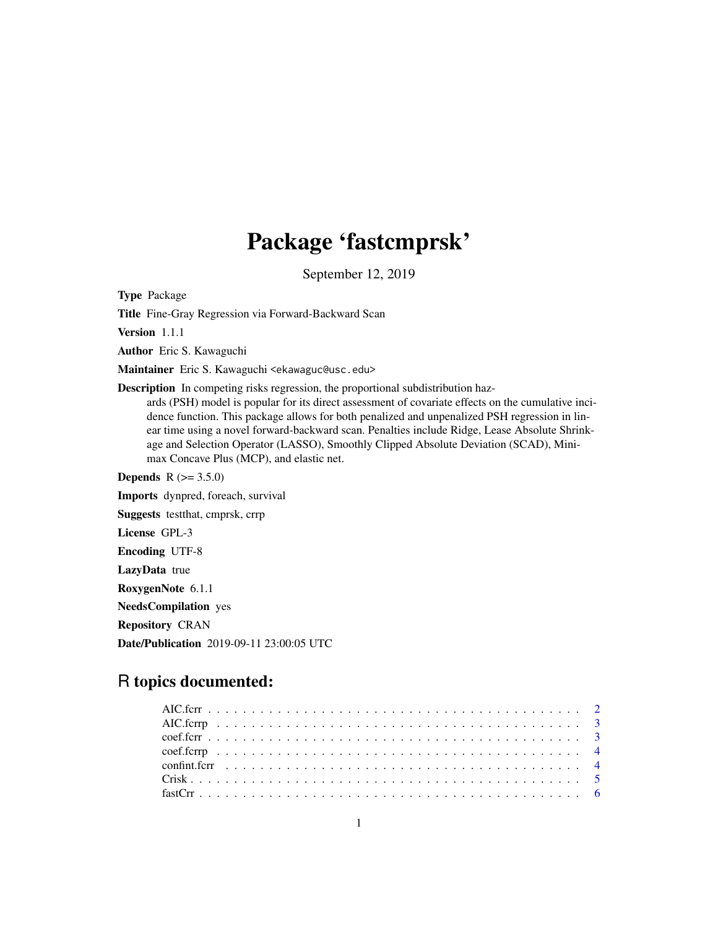# Package 'fastcmprsk'

September 12, 2019

Type Package

Title Fine-Gray Regression via Forward-Backward Scan

Version 1.1.1

Author Eric S. Kawaguchi

Maintainer Eric S. Kawaguchi <ekawaguc@usc.edu>

Description In competing risks regression, the proportional subdistribution haz-

ards (PSH) model is popular for its direct assessment of covariate effects on the cumulative incidence function. This package allows for both penalized and unpenalized PSH regression in linear time using a novel forward-backward scan. Penalties include Ridge, Lease Absolute Shrinkage and Selection Operator (LASSO), Smoothly Clipped Absolute Deviation (SCAD), Minimax Concave Plus (MCP), and elastic net.

**Depends** R  $(>= 3.5.0)$ Imports dynpred, foreach, survival Suggests testthat, cmprsk, crrp License GPL-3 Encoding UTF-8 LazyData true RoxygenNote 6.1.1 NeedsCompilation yes Repository CRAN Date/Publication 2019-09-11 23:00:05 UTC

# R topics documented: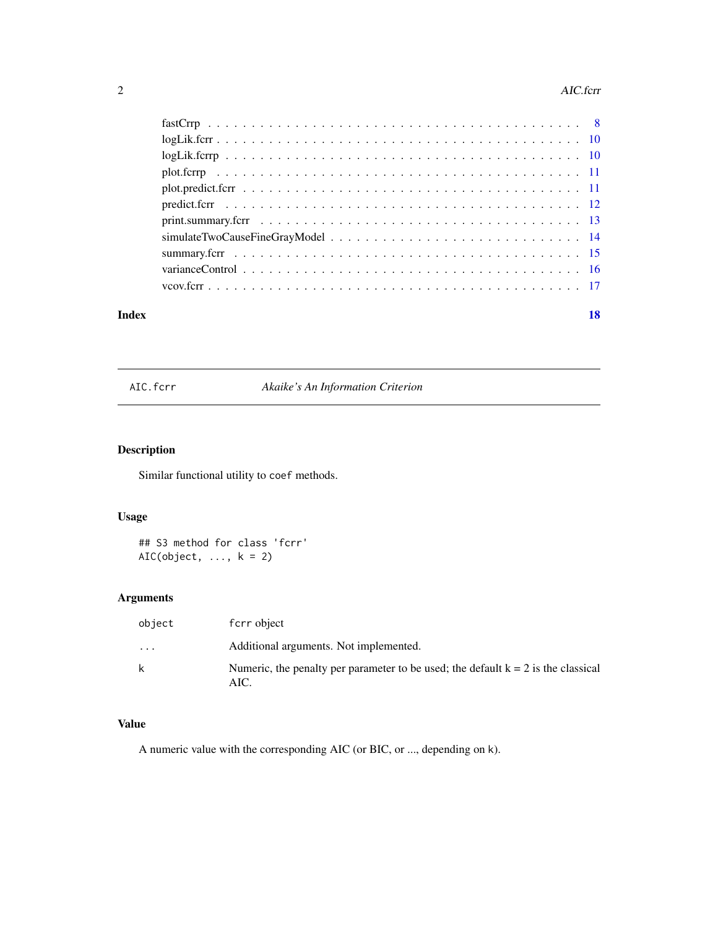#### <span id="page-1-0"></span>2 AIC.fcrr

|       | $plot. \nF$ |    |
|-------|-------------|----|
|       |             |    |
|       |             |    |
|       |             |    |
|       |             |    |
|       |             |    |
|       |             |    |
|       |             |    |
| Index |             | 18 |

AIC.fcrr *Akaike's An Information Criterion*

# Description

Similar functional utility to coef methods.

# Usage

## S3 method for class 'fcrr'  $AIC(object, ..., k = 2)$ 

# Arguments

| object    | fcrr object                                                                                 |
|-----------|---------------------------------------------------------------------------------------------|
| $\ddotsc$ | Additional arguments. Not implemented.                                                      |
|           | Numeric, the penalty per parameter to be used; the default $k = 2$ is the classical<br>AIC. |

# Value

A numeric value with the corresponding AIC (or BIC, or ..., depending on k).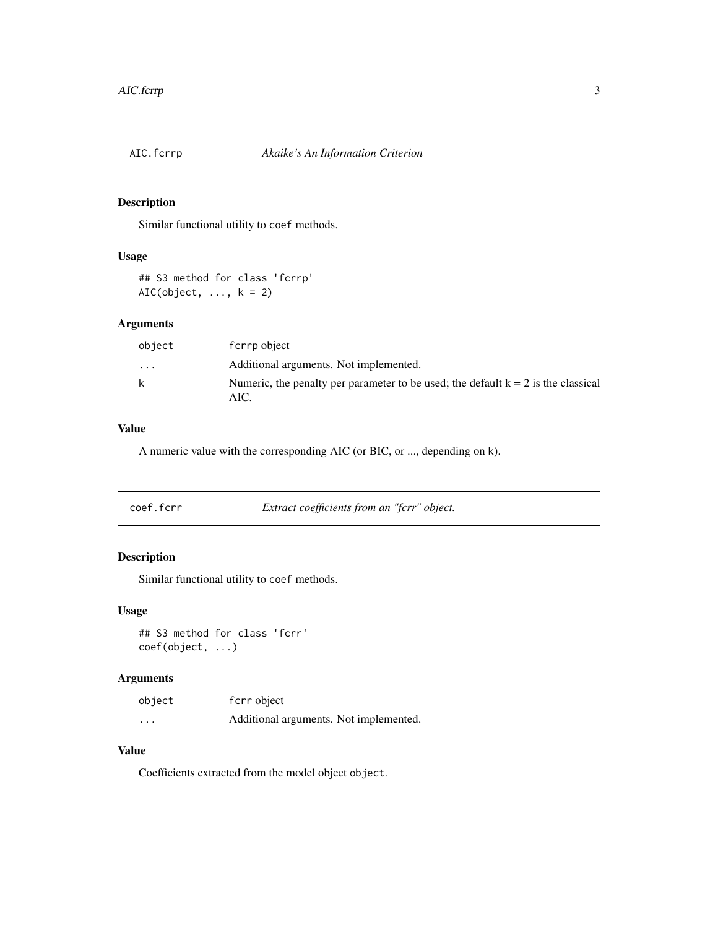<span id="page-2-0"></span>

Similar functional utility to coef methods.

# Usage

## S3 method for class 'fcrrp'  $AIC(object, ..., k = 2)$ 

#### Arguments

| object | f crrp object                                                                               |
|--------|---------------------------------------------------------------------------------------------|
| .      | Additional arguments. Not implemented.                                                      |
| k      | Numeric, the penalty per parameter to be used; the default $k = 2$ is the classical<br>AIC. |

# Value

A numeric value with the corresponding AIC (or BIC, or ..., depending on k).

| Extract coefficients from an "fcrr" object.<br>coef.fcrr |
|----------------------------------------------------------|
|----------------------------------------------------------|

# Description

Similar functional utility to coef methods.

# Usage

## S3 method for class 'fcrr' coef(object, ...)

# Arguments

| object   | fcrr object                            |
|----------|----------------------------------------|
| $\cdots$ | Additional arguments. Not implemented. |

### Value

Coefficients extracted from the model object object.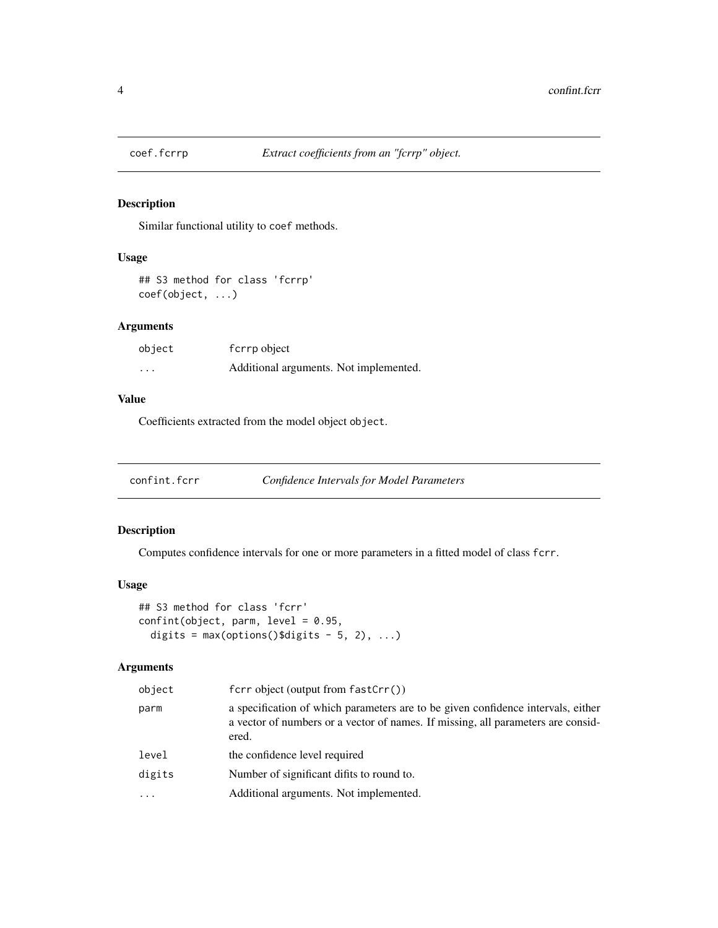<span id="page-3-0"></span>

Similar functional utility to coef methods.

# Usage

## S3 method for class 'fcrrp' coef(object, ...)

# Arguments

| object  | f crrp object                          |
|---------|----------------------------------------|
| $\cdot$ | Additional arguments. Not implemented. |

#### Value

Coefficients extracted from the model object object.

| confint.fcrr |  | Confidence Intervals for Model Parameters |
|--------------|--|-------------------------------------------|
|--------------|--|-------------------------------------------|

# Description

Computes confidence intervals for one or more parameters in a fitted model of class fcrr.

#### Usage

```
## S3 method for class 'fcrr'
confint(object, parm, level = 0.95,digits = max(options()$digits - 5, 2), ...)
```
# Arguments

| object  | $fcrr \text{ object} (output from fastCrr())$                                                                                                                                 |
|---------|-------------------------------------------------------------------------------------------------------------------------------------------------------------------------------|
| parm    | a specification of which parameters are to be given confidence intervals, either<br>a vector of numbers or a vector of names. If missing, all parameters are consid-<br>ered. |
| level   | the confidence level required                                                                                                                                                 |
| digits  | Number of significant difits to round to.                                                                                                                                     |
| $\cdot$ | Additional arguments. Not implemented.                                                                                                                                        |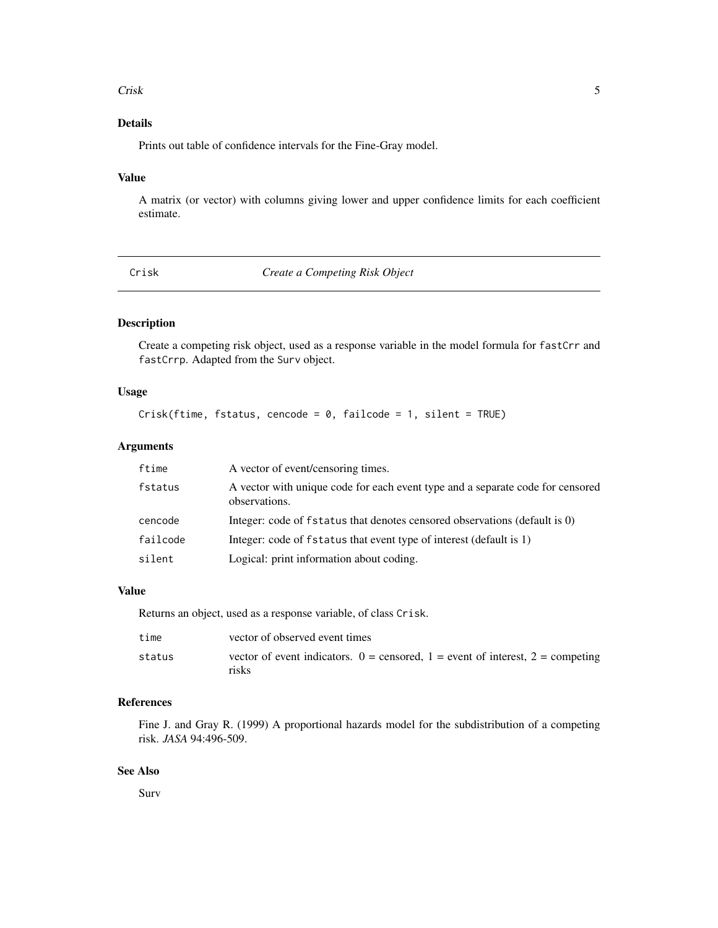#### <span id="page-4-0"></span>Crisk 5

# Details

Prints out table of confidence intervals for the Fine-Gray model.

# Value

A matrix (or vector) with columns giving lower and upper confidence limits for each coefficient estimate.

Crisk *Create a Competing Risk Object*

# Description

Create a competing risk object, used as a response variable in the model formula for fastCrr and fastCrrp. Adapted from the Surv object.

#### Usage

 $Crisk(ftime, fstatus, cencode = 0, failcode = 1, silent = TRUE)$ 

# Arguments

| ftime    | A vector of event/censoring times.                                                              |
|----------|-------------------------------------------------------------------------------------------------|
| fstatus  | A vector with unique code for each event type and a separate code for censored<br>observations. |
| cencode  | Integer: code of fstatus that denotes censored observations (default is 0)                      |
| failcode | Integer: code of fstatus that event type of interest (default is 1)                             |
| silent   | Logical: print information about coding.                                                        |

#### Value

Returns an object, used as a response variable, of class Crisk.

| time   | vector of observed event times                                                                |
|--------|-----------------------------------------------------------------------------------------------|
| status | vector of event indicators. $0 =$ censored, $1 =$ event of interest, $2 =$ competing<br>risks |

# References

Fine J. and Gray R. (1999) A proportional hazards model for the subdistribution of a competing risk. *JASA* 94:496-509.

# See Also

Surv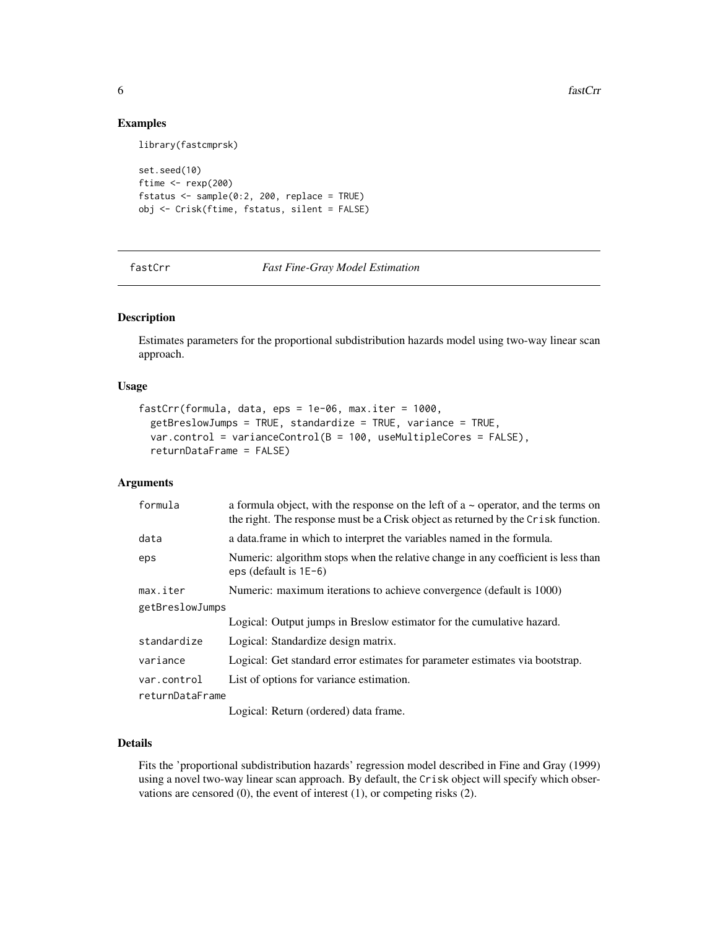**6** fastCrr

#### Examples

library(fastcmprsk)

```
set.seed(10)
ftime <- rexp(200)
fstatus \leq sample(0:2, 200, replace = TRUE)
obj <- Crisk(ftime, fstatus, silent = FALSE)
```
fastCrr *Fast Fine-Gray Model Estimation*

#### Description

Estimates parameters for the proportional subdistribution hazards model using two-way linear scan approach.

#### Usage

```
fastCrr(formula, data, eps = 1e-06, max.iter = 1000,
 getBreslowJumps = TRUE, standardize = TRUE, variance = TRUE,
 var.control = varianceControl(B = 100, useMultipleCores = FALSE),returnDataFrame = FALSE)
```
# Arguments

| formula         | a formula object, with the response on the left of $a \sim$ operator, and the terms on<br>the right. The response must be a Crisk object as returned by the Crisk function. |
|-----------------|-----------------------------------------------------------------------------------------------------------------------------------------------------------------------------|
| data            | a data.frame in which to interpret the variables named in the formula.                                                                                                      |
| eps             | Numeric: algorithm stops when the relative change in any coefficient is less than<br>eps (default is $1E-6$ )                                                               |
| max.iter        | Numeric: maximum iterations to achieve convergence (default is 1000)                                                                                                        |
| getBreslowJumps |                                                                                                                                                                             |
|                 | Logical: Output jumps in Breslow estimator for the cumulative hazard.                                                                                                       |
| standardize     | Logical: Standardize design matrix.                                                                                                                                         |
| variance        | Logical: Get standard error estimates for parameter estimates via bootstrap.                                                                                                |
| var.control     | List of options for variance estimation.                                                                                                                                    |
| returnDataFrame |                                                                                                                                                                             |
|                 | $\mathbf{I}$ and and $\mathbf{D}$ at $\mathbf{I}$ and $\mathbf{I}$ and $\mathbf{I}$ and $\mathbf{I}$                                                                        |

Logical: Return (ordered) data frame.

# Details

Fits the 'proportional subdistribution hazards' regression model described in Fine and Gray (1999) using a novel two-way linear scan approach. By default, the Crisk object will specify which observations are censored (0), the event of interest (1), or competing risks (2).

<span id="page-5-0"></span>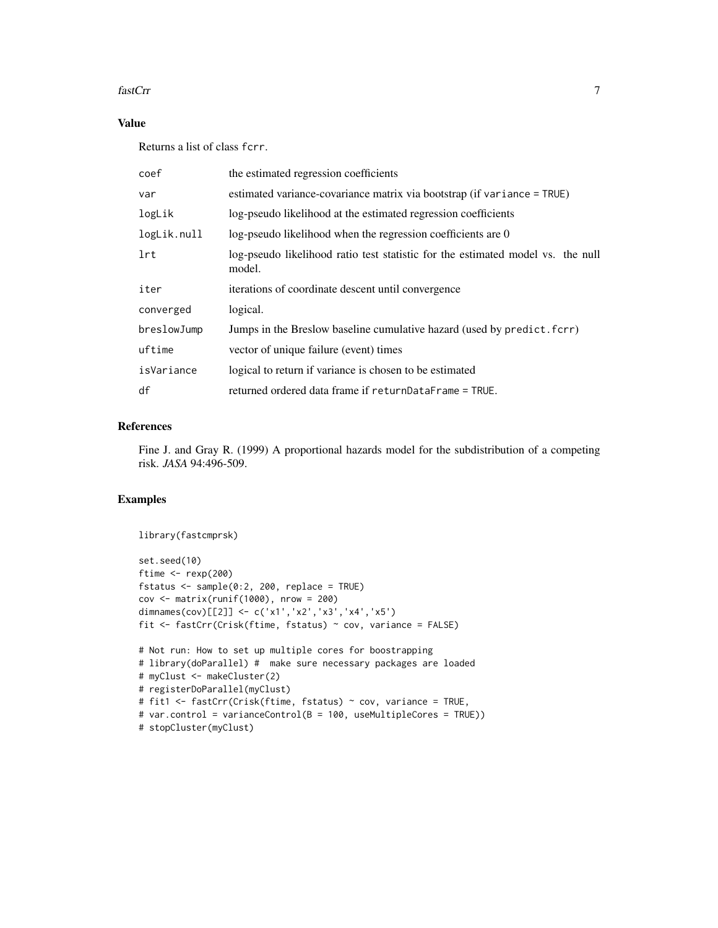#### fastCrr 7

# Value

Returns a list of class fcrr.

| coef        | the estimated regression coefficients                                                     |
|-------------|-------------------------------------------------------------------------------------------|
| var         | estimated variance-covariance matrix via bootstrap (if variance = TRUE)                   |
| logLik      | log-pseudo likelihood at the estimated regression coefficients                            |
| logLik.null | log-pseudo likelihood when the regression coefficients are 0                              |
| 1rt         | log-pseudo likelihood ratio test statistic for the estimated model vs. the null<br>model. |
| iter        | iterations of coordinate descent until convergence                                        |
| converged   | logical.                                                                                  |
| breslowJump | Jumps in the Breslow baseline cumulative hazard (used by predict. fcrr)                   |
| uftime      | vector of unique failure (event) times                                                    |
| isVariance  | logical to return if variance is chosen to be estimated                                   |
| df          | returned ordered data frame if returnDataFrame = TRUE.                                    |

# References

Fine J. and Gray R. (1999) A proportional hazards model for the subdistribution of a competing risk. *JASA* 94:496-509.

# Examples

```
library(fastcmprsk)
set.seed(10)
ftime <- rexp(200)
fstatus <- sample(0:2, 200, replace = TRUE)
cov <- matrix(runif(1000), nrow = 200)
dimnames(cov)[[2]] <- c('x1','x2','x3','x4','x5')
fit <- fastCrr(Crisk(ftime, fstatus) ~ cov, variance = FALSE)
# Not run: How to set up multiple cores for boostrapping
# library(doParallel) # make sure necessary packages are loaded
# myClust <- makeCluster(2)
# registerDoParallel(myClust)
# fit1 <- fastCrr(Crisk(ftime, fstatus) ~ cov, variance = TRUE,
# var.control = varianceControl(B = 100, useMultipleCores = TRUE))
# stopCluster(myClust)
```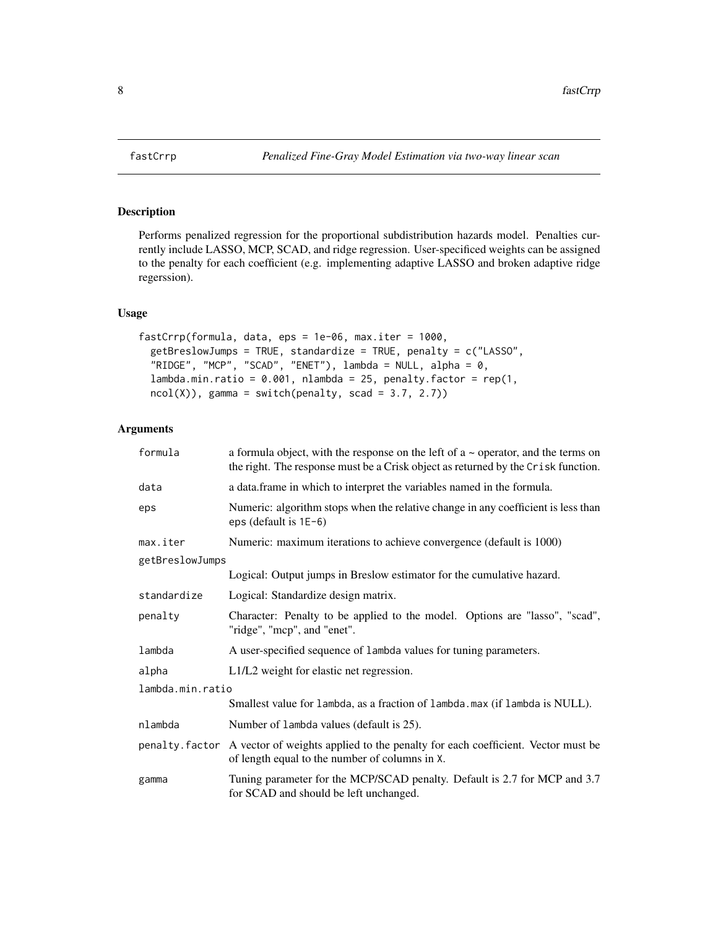Performs penalized regression for the proportional subdistribution hazards model. Penalties currently include LASSO, MCP, SCAD, and ridge regression. User-specificed weights can be assigned to the penalty for each coefficient (e.g. implementing adaptive LASSO and broken adaptive ridge regerssion).

#### Usage

```
fastCrrp(formula, data, eps = 1e-06, max.iter = 1000,
  getBreslowJumps = TRUE, standardize = TRUE, penalty = c("LASSO",
 "RIDGE", "MCP", "SCAD", "ENET"), lambda = NULL, alpha = 0,
 lambda.min.ratio = 0.001, nlambda = 25, penalty.factor = rep(1,ncol(X), gamma = switch(penalty, scad = 3.7, 2.7))
```
#### Arguments

| formula          | a formula object, with the response on the left of $a \sim$ operator, and the terms on<br>the right. The response must be a Crisk object as returned by the Crisk function. |  |
|------------------|-----------------------------------------------------------------------------------------------------------------------------------------------------------------------------|--|
| data             | a data.frame in which to interpret the variables named in the formula.                                                                                                      |  |
| eps              | Numeric: algorithm stops when the relative change in any coefficient is less than<br>eps (default is $1E-6$ )                                                               |  |
| max.iter         | Numeric: maximum iterations to achieve convergence (default is 1000)                                                                                                        |  |
| getBreslowJumps  |                                                                                                                                                                             |  |
|                  | Logical: Output jumps in Breslow estimator for the cumulative hazard.                                                                                                       |  |
| standardize      | Logical: Standardize design matrix.                                                                                                                                         |  |
| penalty          | Character: Penalty to be applied to the model. Options are "lasso", "scad",<br>"ridge", "mcp", and "enet".                                                                  |  |
| lambda           | A user-specified sequence of lambda values for tuning parameters.                                                                                                           |  |
| alpha            | L1/L2 weight for elastic net regression.                                                                                                                                    |  |
| lambda.min.ratio |                                                                                                                                                                             |  |
|                  | Smallest value for lambda, as a fraction of lambda. max (if lambda is NULL).                                                                                                |  |
| nlambda          | Number of lambda values (default is 25).                                                                                                                                    |  |
|                  | penalty. factor A vector of weights applied to the penalty for each coefficient. Vector must be<br>of length equal to the number of columns in X.                           |  |
| gamma            | Tuning parameter for the MCP/SCAD penalty. Default is 2.7 for MCP and 3.7<br>for SCAD and should be left unchanged.                                                         |  |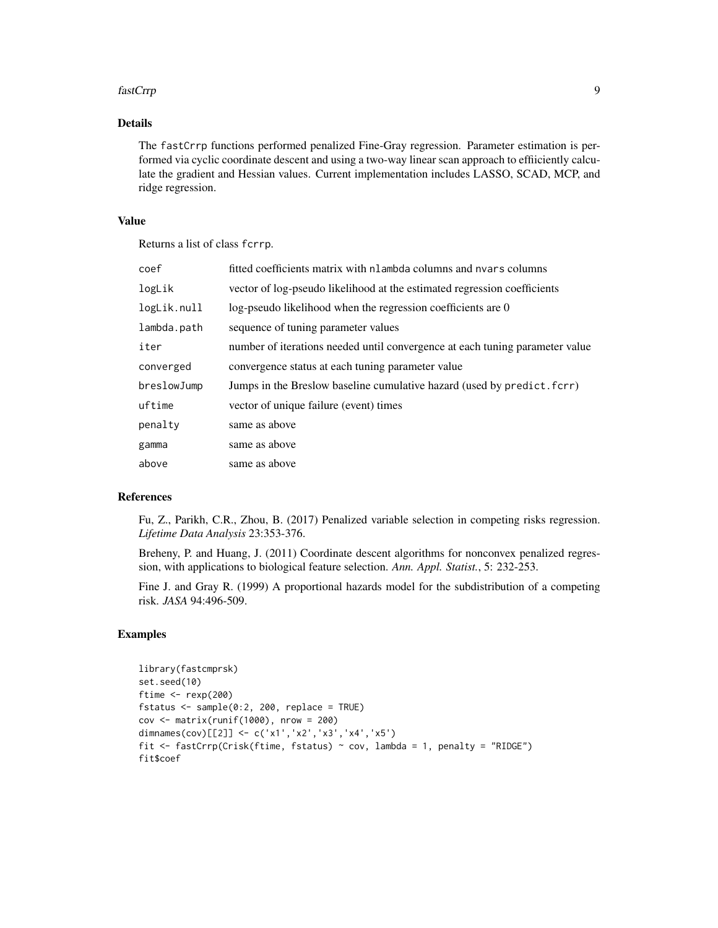#### fastCrrp 9

# Details

The fastCrrp functions performed penalized Fine-Gray regression. Parameter estimation is performed via cyclic coordinate descent and using a two-way linear scan approach to effiiciently calculate the gradient and Hessian values. Current implementation includes LASSO, SCAD, MCP, and ridge regression.

#### Value

Returns a list of class fcrrp.

| coef        | fitted coefficients matrix with nlambda columns and nyars columns            |
|-------------|------------------------------------------------------------------------------|
| logLik      | vector of log-pseudo likelihood at the estimated regression coefficients     |
| logLik.null | log-pseudo likelihood when the regression coefficients are 0                 |
| lambda.path | sequence of tuning parameter values                                          |
| iter        | number of iterations needed until convergence at each tuning parameter value |
| converged   | convergence status at each tuning parameter value                            |
| breslowJump | Jumps in the Breslow baseline cumulative hazard (used by predict. fcrr)      |
| uftime      | vector of unique failure (event) times                                       |
| penalty     | same as above                                                                |
| gamma       | same as above                                                                |
| above       | same as above                                                                |

#### References

Fu, Z., Parikh, C.R., Zhou, B. (2017) Penalized variable selection in competing risks regression. *Lifetime Data Analysis* 23:353-376.

Breheny, P. and Huang, J. (2011) Coordinate descent algorithms for nonconvex penalized regression, with applications to biological feature selection. *Ann. Appl. Statist.*, 5: 232-253.

Fine J. and Gray R. (1999) A proportional hazards model for the subdistribution of a competing risk. *JASA* 94:496-509.

#### Examples

```
library(fastcmprsk)
set.seed(10)
ftime <- rexp(200)
fstatus <- sample(0:2, 200, replace = TRUE)
cov <- matrix(runif(1000), nrow = 200)
dimnames(cov)[[2]] <- c('x1','x2','x3','x4','x5')
fit <- fastCrrp(Crisk(ftime, fstatus) ~ cov, lambda = 1, penalty = "RIDGE")
fit$coef
```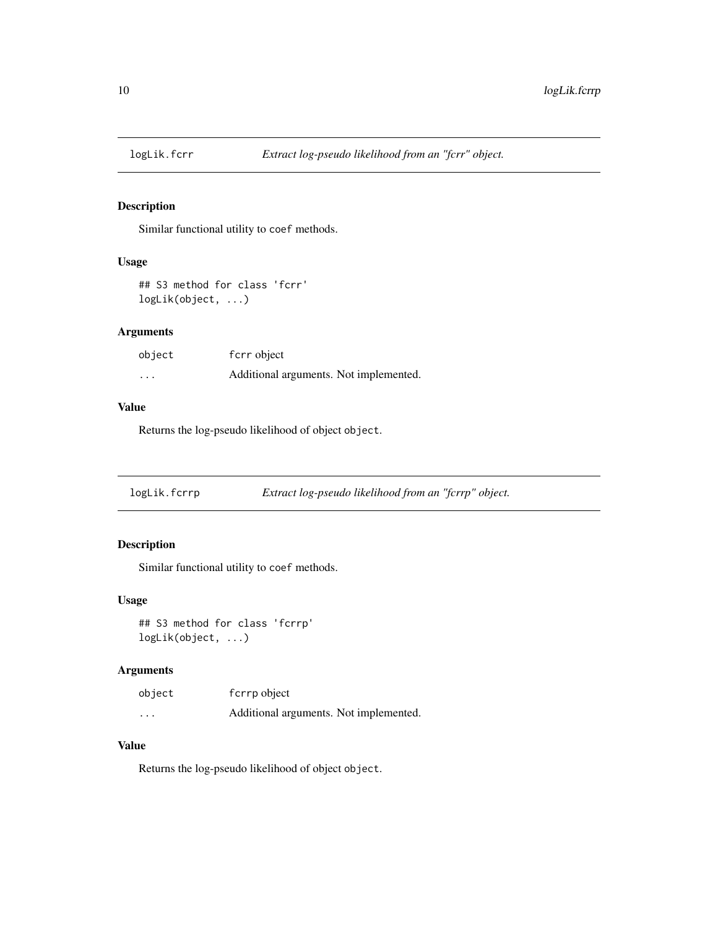<span id="page-9-0"></span>

Similar functional utility to coef methods.

#### Usage

```
## S3 method for class 'fcrr'
logLik(object, ...)
```
# Arguments

| object | f crr object                           |
|--------|----------------------------------------|
| .      | Additional arguments. Not implemented. |

# Value

Returns the log-pseudo likelihood of object object.

logLik.fcrrp *Extract log-pseudo likelihood from an "fcrrp" object.*

# Description

Similar functional utility to coef methods.

#### Usage

```
## S3 method for class 'fcrrp'
logLik(object, ...)
```
# Arguments

| object   | f crrp object                          |
|----------|----------------------------------------|
| $\cdots$ | Additional arguments. Not implemented. |

#### Value

Returns the log-pseudo likelihood of object object.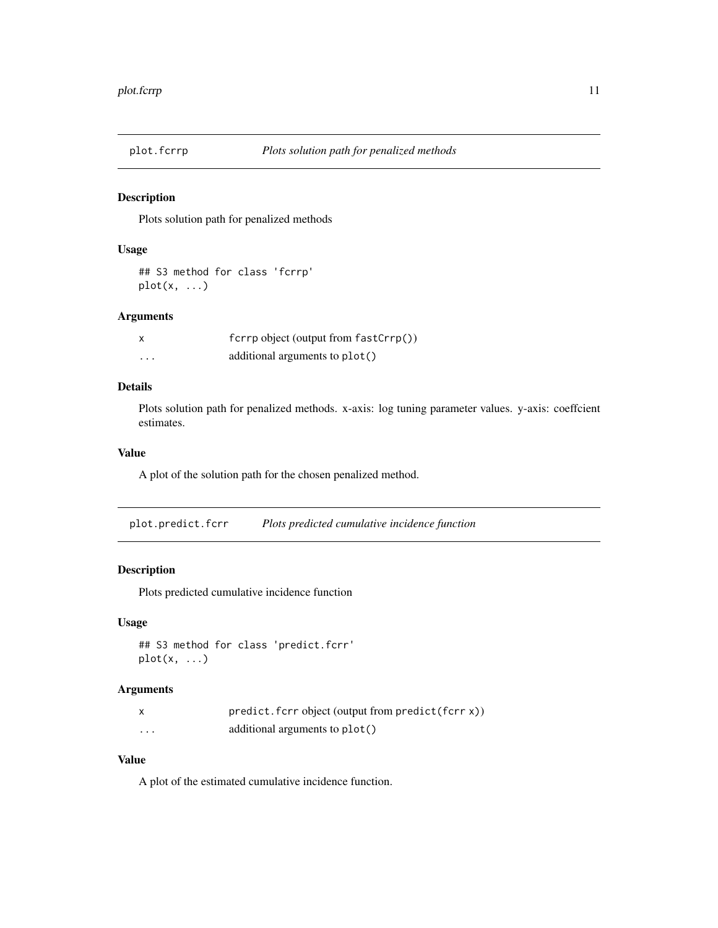<span id="page-10-0"></span>

Plots solution path for penalized methods

#### Usage

```
## S3 method for class 'fcrrp'
plot(x, \ldots)
```
#### Arguments

|          | $fcrrp$ object (output from $fastCrrp()$ ) |
|----------|--------------------------------------------|
| $\cdots$ | additional arguments to plot()             |

#### Details

Plots solution path for penalized methods. x-axis: log tuning parameter values. y-axis: coeffcient estimates.

# Value

A plot of the solution path for the chosen penalized method.

plot.predict.fcrr *Plots predicted cumulative incidence function*

# Description

Plots predicted cumulative incidence function

# Usage

```
## S3 method for class 'predict.fcrr'
plot(x, \ldots)
```
# Arguments

|          | $predict.fcrr object (output from predict (fcrr x))$ |
|----------|------------------------------------------------------|
| $\cdots$ | additional arguments to plot()                       |

#### Value

A plot of the estimated cumulative incidence function.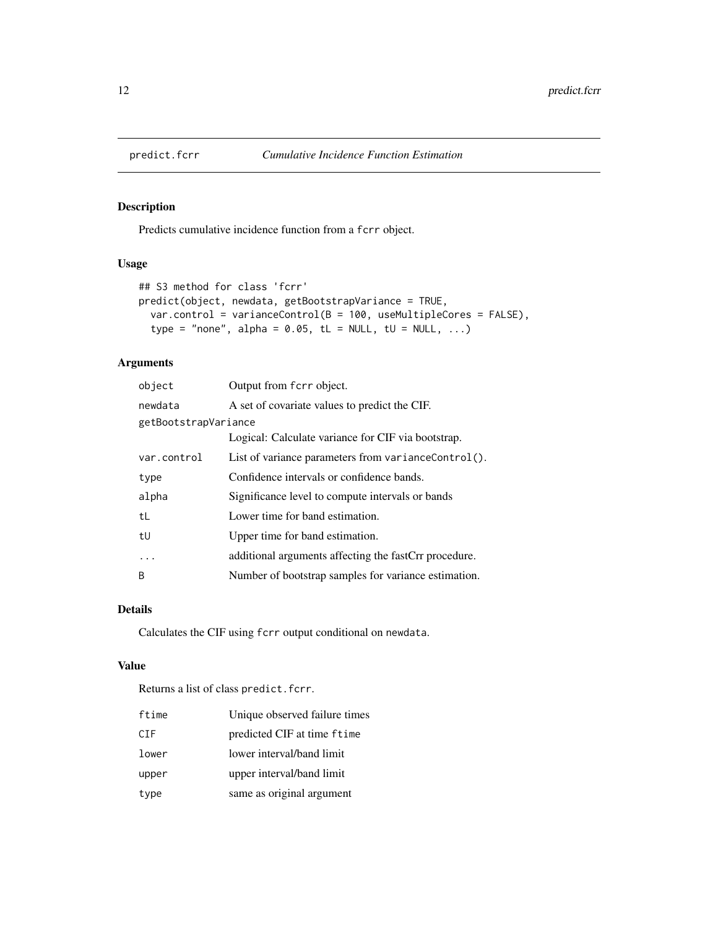<span id="page-11-0"></span>

Predicts cumulative incidence function from a fcrr object.

# Usage

```
## S3 method for class 'fcrr'
predict(object, newdata, getBootstrapVariance = TRUE,
  var.control = varianceControl(B = 100, useMultipleCores = FALSE),type = "none", alpha = 0.05, tL = NULL, tU = NULL, ...)
```
# Arguments

| object               | Output from fcrr object.                              |
|----------------------|-------------------------------------------------------|
| newdata              | A set of covariate values to predict the CIF.         |
| getBootstrapVariance |                                                       |
|                      | Logical: Calculate variance for CIF via bootstrap.    |
| var.control          | List of variance parameters from varianceControl().   |
| type                 | Confidence intervals or confidence bands.             |
| alpha                | Significance level to compute intervals or bands      |
| tL                   | Lower time for band estimation.                       |
| tU                   | Upper time for band estimation.                       |
| .                    | additional arguments affecting the fastCrr procedure. |
| <sub>B</sub>         | Number of bootstrap samples for variance estimation.  |

#### Details

Calculates the CIF using fcrr output conditional on newdata.

#### Value

Returns a list of class predict.fcrr.

| ftime | Unique observed failure times |
|-------|-------------------------------|
| CIF   | predicted CIF at time ftime   |
| lower | lower interval/band limit     |
| upper | upper interval/band limit     |
| type  | same as original argument     |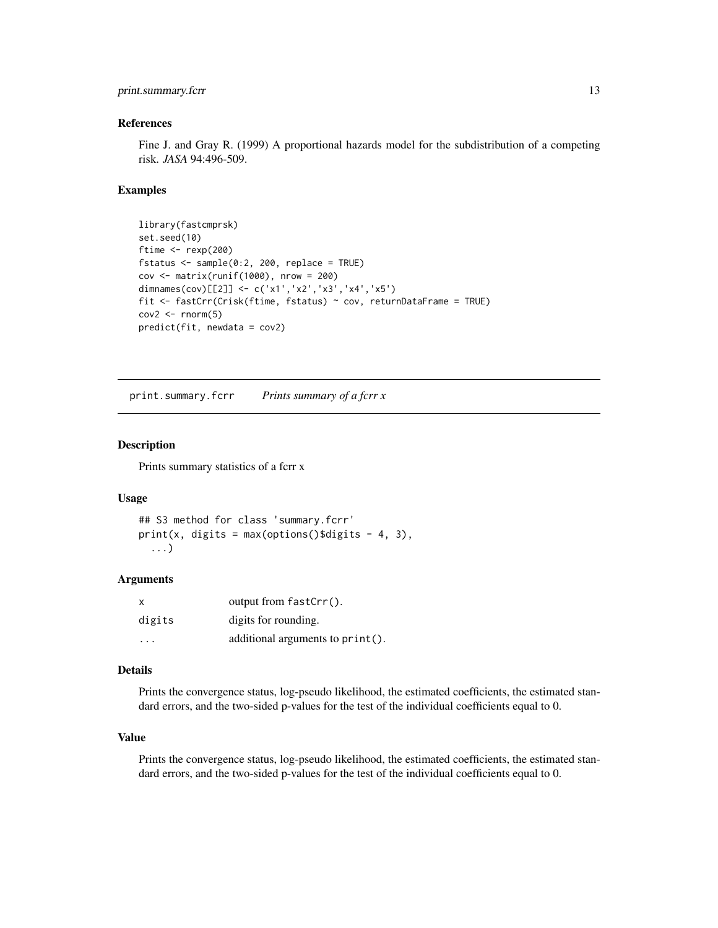# <span id="page-12-0"></span>print.summary.fcrr 13

#### References

Fine J. and Gray R. (1999) A proportional hazards model for the subdistribution of a competing risk. *JASA* 94:496-509.

#### Examples

```
library(fastcmprsk)
set.seed(10)
ftime <- rexp(200)
fstatus \leq sample(0:2, 200, replace = TRUE)
cov <- matrix(runif(1000), nrow = 200)
dimnames(cov)[[2]] <- c('x1','x2','x3','x4','x5')
fit <- fastCrr(Crisk(ftime, fstatus) ~ cov, returnDataFrame = TRUE)
cov2 \leq rnorm(5)predict(fit, newdata = cov2)
```
print.summary.fcrr *Prints summary of a fcrr x*

#### Description

Prints summary statistics of a fcrr x

#### Usage

```
## S3 method for class 'summary.fcrr'
print(x, \text{ digits} = max(options() \text{3 digits} - 4, 3),...)
```
# Arguments

| $\mathsf{x}$ | output from $fastCrr()$ .        |
|--------------|----------------------------------|
| digits       | digits for rounding.             |
| .            | additional arguments to print(). |

#### Details

Prints the convergence status, log-pseudo likelihood, the estimated coefficients, the estimated standard errors, and the two-sided p-values for the test of the individual coefficients equal to 0.

#### Value

Prints the convergence status, log-pseudo likelihood, the estimated coefficients, the estimated standard errors, and the two-sided p-values for the test of the individual coefficients equal to 0.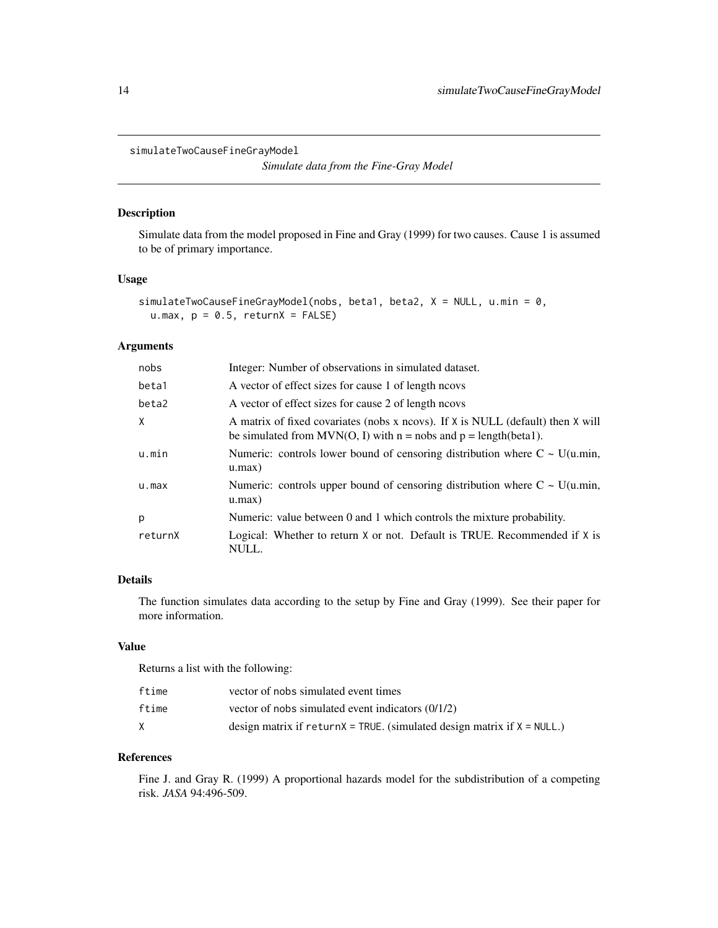```
simulateTwoCauseFineGrayModel
```
*Simulate data from the Fine-Gray Model*

# Description

Simulate data from the model proposed in Fine and Gray (1999) for two causes. Cause 1 is assumed to be of primary importance.

#### Usage

```
simulateTwoCauseFineGrayModel(nobs, beta1, beta2, X = NULL, u.min = 0,
 u.max, p = 0.5, returnX = FALSE)
```
#### Arguments

| nobs    | Integer: Number of observations in simulated dataset.                                                                                                    |
|---------|----------------------------------------------------------------------------------------------------------------------------------------------------------|
| beta1   | A vector of effect sizes for cause 1 of length neovs                                                                                                     |
| beta2   | A vector of effect sizes for cause 2 of length neover                                                                                                    |
| X       | A matrix of fixed covariates (nobs x ncovs). If X is NULL (default) then X will<br>be simulated from MVN(O, I) with $n = nobs$ and $p = length(beta1)$ . |
| u.min   | Numeric: controls lower bound of censoring distribution where $C \sim U(u.min$ ,<br>u.max)                                                               |
| u.max   | Numeric: controls upper bound of censoring distribution where $C \sim U(u.min$ ,<br>u.max)                                                               |
| p       | Numeric: value between 0 and 1 which controls the mixture probability.                                                                                   |
| returnX | Logical: Whether to return X or not. Default is TRUE. Recommended if X is<br>NULL.                                                                       |

# Details

The function simulates data according to the setup by Fine and Gray (1999). See their paper for more information.

# Value

Returns a list with the following:

| ftime | vector of nobs simulated event times                                           |
|-------|--------------------------------------------------------------------------------|
| ftime | vector of nobs simulated event indicators $(0/1/2)$                            |
|       | design matrix if return $X = TRUE$ . (simulated design matrix if $X = NULL$ .) |

#### References

Fine J. and Gray R. (1999) A proportional hazards model for the subdistribution of a competing risk. *JASA* 94:496-509.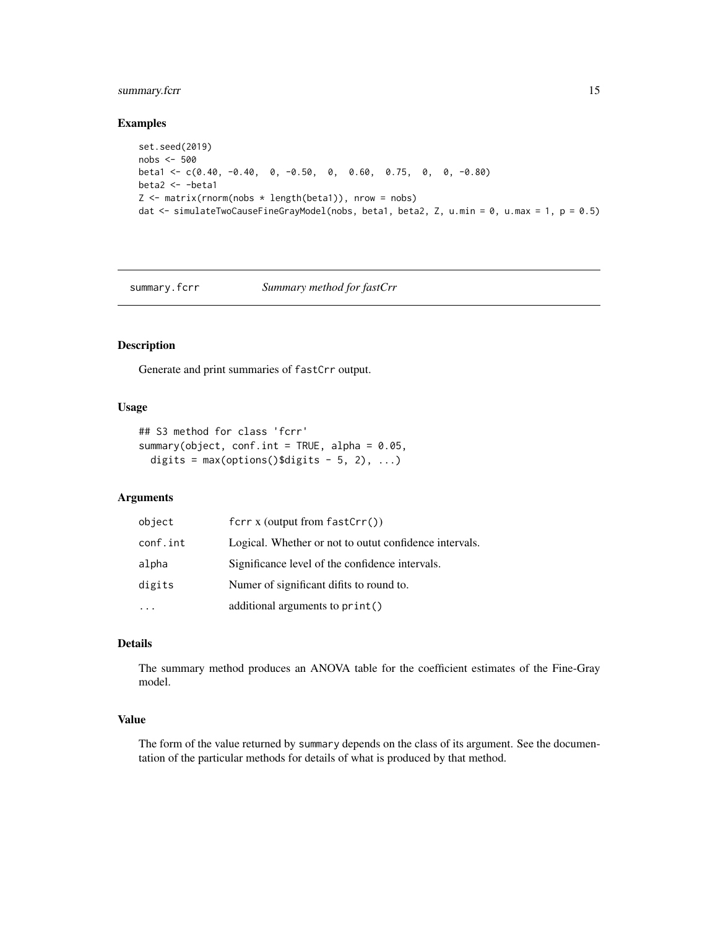# <span id="page-14-0"></span>summary.fcrr 15

#### Examples

```
set.seed(2019)
nobs <- 500
beta1 <- c(0.40, -0.40, 0, -0.50, 0, 0.60, 0.75, 0, 0, -0.80)
beta2 <- -beta1
Z \le matrix(rnorm(nobs * length(beta1)), nrow = nobs)
dat <- simulateTwoCauseFineGrayModel(nobs, beta1, beta2, Z, u.min = 0, u.max = 1, p = 0.5)
```
summary.fcrr *Summary method for fastCrr*

#### Description

Generate and print summaries of fastCrr output.

# Usage

```
## S3 method for class 'fcrr'
summary(object, conf.int = TRUE, alpha = 0.05,
 digits = max(options()$digits - 5, 2), ...)
```
#### Arguments

| object   | fcrr $x$ (output from fastCrr())                       |
|----------|--------------------------------------------------------|
| conf.int | Logical. Whether or not to outut confidence intervals. |
| alpha    | Significance level of the confidence intervals.        |
| digits   | Numer of significant difits to round to.               |
|          | additional arguments to print()                        |

#### Details

The summary method produces an ANOVA table for the coefficient estimates of the Fine-Gray model.

#### Value

The form of the value returned by summary depends on the class of its argument. See the documentation of the particular methods for details of what is produced by that method.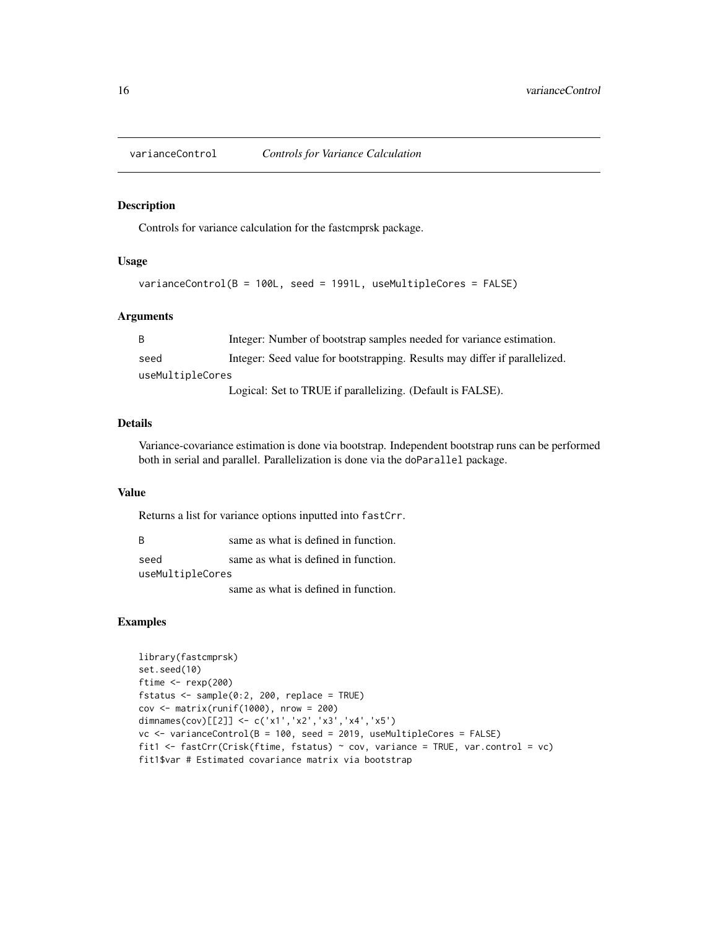<span id="page-15-0"></span>

Controls for variance calculation for the fastcmprsk package.

#### Usage

```
varianceControl(B = 100L, seed = 1991L, useMultipleCores = FALSE)
```
#### Arguments

| -B               | Integer: Number of bootstrap samples needed for variance estimation.       |  |
|------------------|----------------------------------------------------------------------------|--|
| seed             | Integer: Seed value for bootstrapping. Results may differ if parallelized. |  |
| useMultipleCores |                                                                            |  |
|                  | Logical: Set to TRUE if parallelizing. (Default is FALSE).                 |  |

#### Details

Variance-covariance estimation is done via bootstrap. Independent bootstrap runs can be performed both in serial and parallel. Parallelization is done via the doParallel package.

#### Value

Returns a list for variance options inputted into fastCrr.

B same as what is defined in function.

seed same as what is defined in function. useMultipleCores

same as what is defined in function.

#### Examples

```
library(fastcmprsk)
set.seed(10)
ftime <- rexp(200)
fstatus \leq sample(0:2, 200, replace = TRUE)
cov <- matrix(runif(1000), nrow = 200)
dimnames(cov)[[2]] <- c('x1','x2','x3','x4','x5')
vc <- varianceControl(B = 100, seed = 2019, useMultipleCores = FALSE)
fit1 <- fastCrr(Crisk(ftime, fstatus) ~ cov, variance = TRUE, var.control = vc)
fit1$var # Estimated covariance matrix via bootstrap
```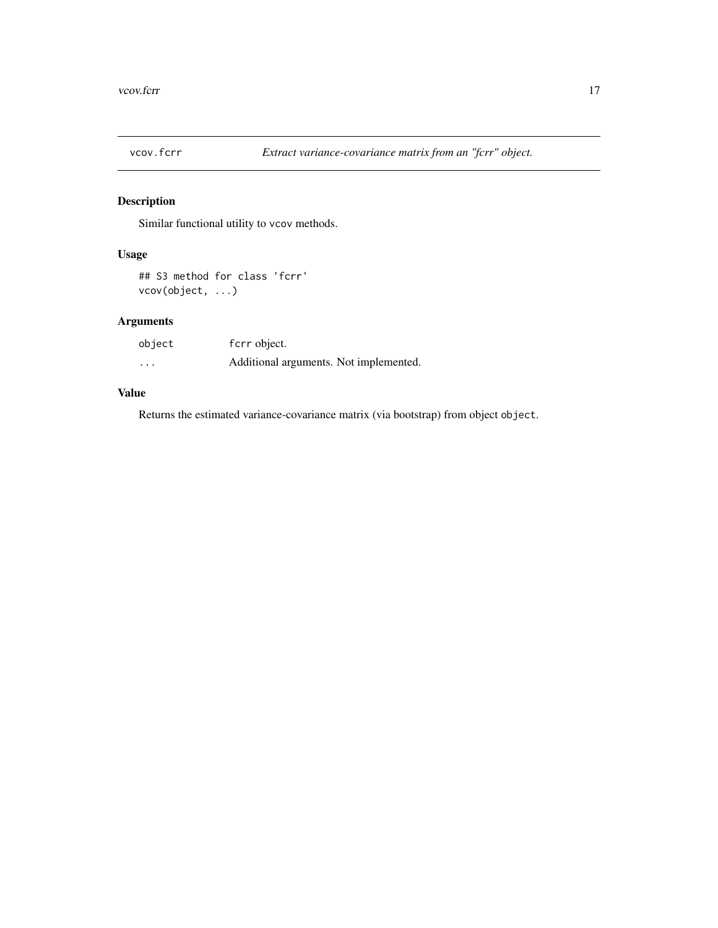<span id="page-16-0"></span>

Similar functional utility to vcov methods.

# Usage

```
## S3 method for class 'fcrr'
vcov(object, ...)
```
# Arguments

| object   | fcrr object.                           |
|----------|----------------------------------------|
| $\cdots$ | Additional arguments. Not implemented. |

# Value

Returns the estimated variance-covariance matrix (via bootstrap) from object object.